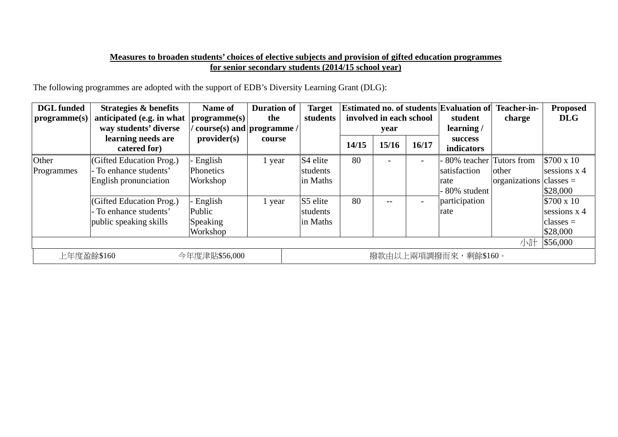## **Measures to broaden students' choices of elective subjects and provision of gifted education programmes for senior secondary students (2014/15 school year)**

The following programmes are adopted with the support of EDB's Diversity Learning Grant (DLG):

| <b>DGL</b> funded<br>$\vert$ programme $(s)$ | Strategies & benefits<br>anticipated (e.g. in what<br>way students' diverse<br>learning needs are<br>catered for) | <b>Name of</b><br>programme(s)<br>course(s) and programme /<br>provider(s) | <b>Duration of</b><br>the<br>course | <b>Target</b><br>students                    | 14/15 | involved in each school<br>year<br>15/16 | 16/17 | <b>Estimated no. of students Evaluation of</b><br>student<br>learning/<br><b>success</b><br>indicators | Teacher-in-<br>charge       | <b>Proposed</b><br><b>DLG</b>                                           |
|----------------------------------------------|-------------------------------------------------------------------------------------------------------------------|----------------------------------------------------------------------------|-------------------------------------|----------------------------------------------|-------|------------------------------------------|-------|--------------------------------------------------------------------------------------------------------|-----------------------------|-------------------------------------------------------------------------|
| Other<br>Programmes                          | (Gifted Education Prog.)<br>- To enhance students'<br>English pronunciation                                       | English<br><b>Phonetics</b><br>Workshop                                    | 1 year                              | S <sub>4</sub> elite<br>students<br>in Maths | 80    |                                          |       | 80% teacher Tutors from<br>satisfaction<br>other<br>rate<br>- 80% student                              | $ organizations  classes =$ | $$700 \times 10$<br>sessions $x$ 4<br>\$28,000                          |
|                                              | (Gifted Education Prog.)<br>- To enhance students'<br>public speaking skills                                      | English<br>Public<br>Speaking<br>Workshop                                  | 1 year                              | S5 elite<br>students<br>in Maths             | 80    | $- -$                                    |       | participation<br>rate                                                                                  |                             | $$700 \times 10$<br>sessions x 4<br>classes $=$<br>\$28,000<br>\$56,000 |
| 上年度盈餘\$160                                   |                                                                                                                   | 小計<br>撥款由以上兩項調撥而來,剩餘\$160。                                                 |                                     |                                              |       |                                          |       |                                                                                                        |                             |                                                                         |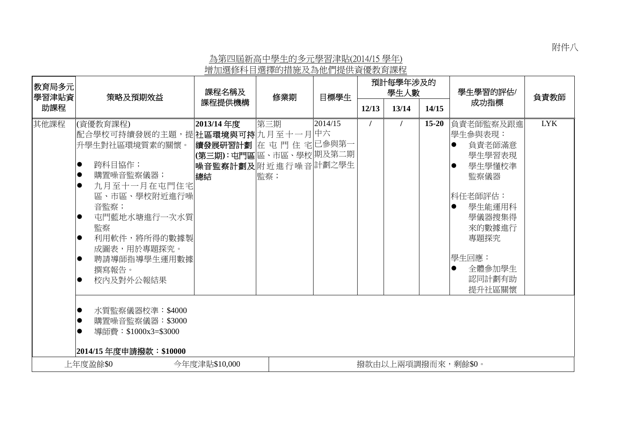附件八

## 為第四屆新高中學生的多元學習津貼(2014/15 學年) 增加選修科目選擇的措施及為他們提供資優教育課程

| 教育局多元<br>學習津貼資            | 策略及預期效益                                                                                                                                                                                                                                                                                                                                            | 課程名稱及                                                                                             | 修業期        | 目標學生    | 預計每學年涉及的<br>學生人數 |                    |           | 學生學習的評估/                                                                                                                                                                              | 負責教師       |
|---------------------------|----------------------------------------------------------------------------------------------------------------------------------------------------------------------------------------------------------------------------------------------------------------------------------------------------------------------------------------------------|---------------------------------------------------------------------------------------------------|------------|---------|------------------|--------------------|-----------|---------------------------------------------------------------------------------------------------------------------------------------------------------------------------------------|------------|
| 助課程                       |                                                                                                                                                                                                                                                                                                                                                    | 課程提供機構                                                                                            |            |         | 12/13            | 13/14              | 14/15     | 成功指標                                                                                                                                                                                  |            |
| 其他課程                      | (資優教育課程)<br>配合學校可持續發展的主題,提 社區環境與可持 九月至十一月 中六<br>升學生對社區環境質素的關懷。<br>跨科目協作;<br>$\bullet$<br>購置噪音監察儀器;<br>$\bullet$<br>$\bullet$<br>九月至十一月在屯門住宅<br>區、市區、學校附近進行噪<br>音監察;<br>屯門藍地水塘進行一次水質<br>$\bullet$<br>監察<br>利用軟件,將所得的數據製<br>$\bullet$<br>成圖表,用於專題探究。<br>聘請導師指導學生運用數據<br>$\bullet$<br>撰寫報告。<br>校内及對外公報結果<br>$\bullet$<br>水質監察儀器校準:\$4000<br>$\bullet$ | 2013/14年度<br> 續發展研習計劃  在 屯 門 住 宅 已參與第一<br> (第三期):屯門區 區、市區、學校 期及第二期<br> 噪音監察計劃及 附近進行噪音 計劃之學生<br>總結 | 第三期<br>監察; | 2014/15 |                  |                    | $15 - 20$ | 負責老師監察及跟進<br> 學生參與表現:<br>負責老師滿意<br>學生學習表現<br>學生學懂校準<br>lo<br>監察儀器<br> 科任老師評估:<br>學生能運用科<br>$\bullet$<br>學儀器搜集得<br>來的數據進行<br>專題探究<br> 學生回應:<br>全體參加學生<br>$\bullet$<br>認同計劃有助<br>提升社區關懷 | <b>LYK</b> |
|                           | 購置噪音監察儀器: \$3000<br>$\bullet$<br>$\bullet$<br>導師費:\$1000x3=\$3000<br> 2014/15 年度申請撥款:\$10000                                                                                                                                                                                                                                                       |                                                                                                   |            |         |                  |                    |           |                                                                                                                                                                                       |            |
| 上年度盈餘\$0<br>今年度津貼\$10,000 |                                                                                                                                                                                                                                                                                                                                                    |                                                                                                   |            |         |                  | 撥款由以上兩項調撥而來,剩餘\$0。 |           |                                                                                                                                                                                       |            |